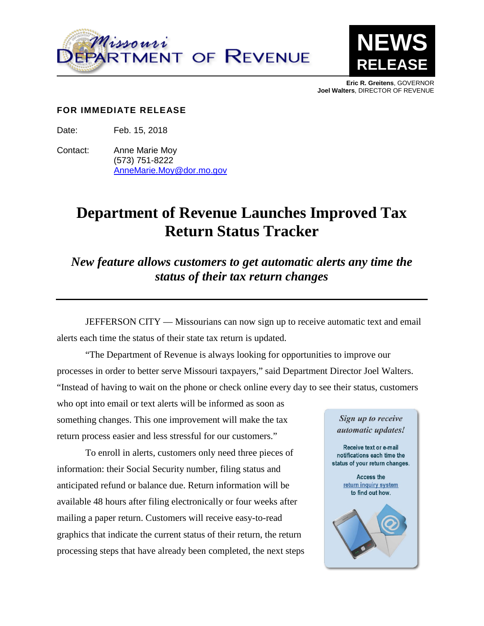



**Eric R. Greitens**, GOVERNOR **Joel Walters**, DIRECTOR OF REVENUE

## **FOR IMMEDIATE RELEASE**

Date: Feb. 15, 2018

Contact: Anne Marie Moy (573) 751-8222 [AnneMarie.Moy@dor.mo.gov](mailto:AnneMarie.Moy@dor.mo.gov)

## **Department of Revenue Launches Improved Tax Return Status Tracker**

*New feature allows customers to get automatic alerts any time the status of their tax return changes*

JEFFERSON CITY — Missourians can now sign up to receive automatic text and email alerts each time the status of their state tax return is updated.

"The Department of Revenue is always looking for opportunities to improve our processes in order to better serve Missouri taxpayers," said Department Director Joel Walters. "Instead of having to wait on the phone or check online every day to see their status, customers

who opt into email or text alerts will be informed as soon as something changes. This one improvement will make the tax return process easier and less stressful for our customers."

To enroll in alerts, customers only need three pieces of information: their Social Security number, filing status and anticipated refund or balance due. Return information will be available 48 hours after filing electronically or four weeks after mailing a paper return. Customers will receive easy-to-read graphics that indicate the current status of their return, the return processing steps that have already been completed, the next steps